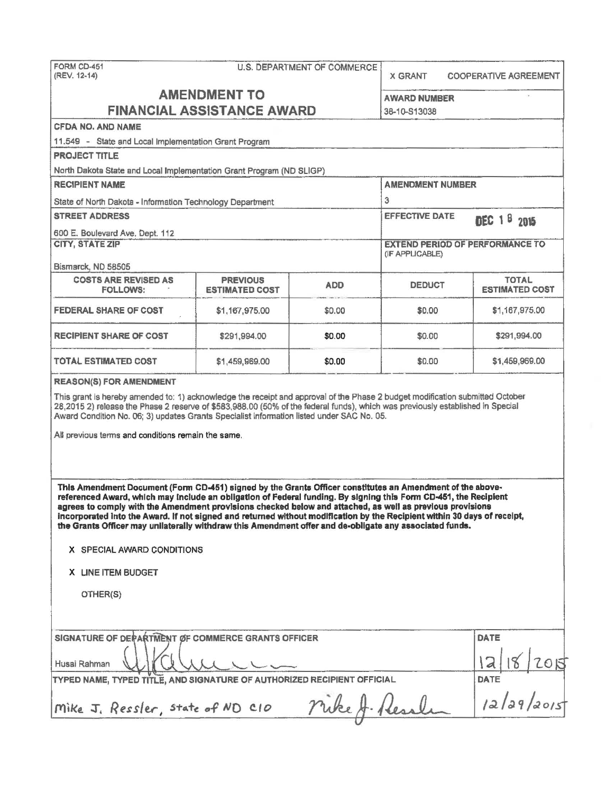| FORM CD-451<br>(REV. 12-14)                                                                                                                                                                                                                                                                                                                                                                                                                                                                                                                                                       |                                   | <b>U.S. DEPARTMENT OF COMMERCE</b> | X GRANT                 | <b>COOPERATIVE AGREEMENT</b>           |
|-----------------------------------------------------------------------------------------------------------------------------------------------------------------------------------------------------------------------------------------------------------------------------------------------------------------------------------------------------------------------------------------------------------------------------------------------------------------------------------------------------------------------------------------------------------------------------------|-----------------------------------|------------------------------------|-------------------------|----------------------------------------|
|                                                                                                                                                                                                                                                                                                                                                                                                                                                                                                                                                                                   | <b>AMENDMENT TO</b>               |                                    | <b>AWARD NUMBER</b>     |                                        |
|                                                                                                                                                                                                                                                                                                                                                                                                                                                                                                                                                                                   | <b>FINANCIAL ASSISTANCE AWARD</b> |                                    | 38-10-S13038            |                                        |
| <b>CFDA NO. AND NAME</b>                                                                                                                                                                                                                                                                                                                                                                                                                                                                                                                                                          |                                   |                                    |                         |                                        |
| 11.549 - State and Local Implementation Grant Program                                                                                                                                                                                                                                                                                                                                                                                                                                                                                                                             |                                   |                                    |                         |                                        |
| <b>PROJECT TITLE</b>                                                                                                                                                                                                                                                                                                                                                                                                                                                                                                                                                              |                                   |                                    |                         |                                        |
| North Dakota State and Local Implementation Grant Program (ND SLIGP)                                                                                                                                                                                                                                                                                                                                                                                                                                                                                                              |                                   |                                    |                         |                                        |
| <b>RECIPIENT NAME</b>                                                                                                                                                                                                                                                                                                                                                                                                                                                                                                                                                             |                                   |                                    | <b>AMENDMENT NUMBER</b> |                                        |
| State of North Dakota - Information Technology Department                                                                                                                                                                                                                                                                                                                                                                                                                                                                                                                         |                                   |                                    | 3                       |                                        |
| <b>STREET ADDRESS</b>                                                                                                                                                                                                                                                                                                                                                                                                                                                                                                                                                             |                                   |                                    | <b>EFFECTIVE DATE</b>   | DEC 18 2015                            |
| 600 E. Boulevard Ave. Dept. 112                                                                                                                                                                                                                                                                                                                                                                                                                                                                                                                                                   |                                   |                                    |                         |                                        |
| <b>CITY, STATE ZIP</b>                                                                                                                                                                                                                                                                                                                                                                                                                                                                                                                                                            |                                   |                                    | (IF APPLICABLE)         | <b>EXTEND PERIOD OF PERFORMANCE TO</b> |
| Bismarck, ND 58505<br><b>COSTS ARE REVISED AS</b>                                                                                                                                                                                                                                                                                                                                                                                                                                                                                                                                 | <b>PREVIOUS</b>                   |                                    |                         | <b>TOTAL</b>                           |
| <b>FOLLOWS:</b>                                                                                                                                                                                                                                                                                                                                                                                                                                                                                                                                                                   | <b>ESTIMATED COST</b>             | <b>ADD</b>                         | <b>DEDUCT</b>           | <b>ESTIMATED COST</b>                  |
| <b>FEDERAL SHARE OF COST</b>                                                                                                                                                                                                                                                                                                                                                                                                                                                                                                                                                      | \$1,167,975.00                    | \$0.00                             | \$0.00                  | \$1,167,975.00                         |
| <b>RECIPIENT SHARE OF COST</b>                                                                                                                                                                                                                                                                                                                                                                                                                                                                                                                                                    | \$291,994.00                      | \$0.00                             | \$0.00                  | \$291,994.00                           |
| <b>TOTAL ESTIMATED COST</b>                                                                                                                                                                                                                                                                                                                                                                                                                                                                                                                                                       | \$1,459,969.00                    | \$0.00                             | \$0.00                  | \$1,459,969.00                         |
| 28,2015 2) release the Phase 2 reserve of \$583,988.00 (50% of the federal funds), which was previously established in Special<br>Award Condition No. 06; 3) updates Grants Specialist information listed under SAC No. 05.<br>All previous terms and conditions remain the same.                                                                                                                                                                                                                                                                                                 |                                   |                                    |                         |                                        |
| This Amendment Document (Form CD-451) signed by the Grants Officer constitutes an Amendment of the above-<br>referenced Award, which may include an obligation of Federal funding. By signing this Form CD-451, the Recipient<br>agrees to comply with the Amendment provisions checked below and attached, as well as previous provisions<br>incorporated into the Award. If not signed and returned without modification by the Recipient within 30 days of receipt,<br>the Grants Officer may unilaterally withdraw this Amendment offer and de-obligate any associated funds. |                                   |                                    |                         |                                        |
| X SPECIAL AWARD CONDITIONS                                                                                                                                                                                                                                                                                                                                                                                                                                                                                                                                                        |                                   |                                    |                         |                                        |
| X LINE ITEM BUDGET                                                                                                                                                                                                                                                                                                                                                                                                                                                                                                                                                                |                                   |                                    |                         |                                        |
| OTHER(S)                                                                                                                                                                                                                                                                                                                                                                                                                                                                                                                                                                          |                                   |                                    |                         |                                        |
| SIGNATURE OF DEPARTMENT OF COMMERCE GRANTS OFFICER                                                                                                                                                                                                                                                                                                                                                                                                                                                                                                                                |                                   |                                    |                         | DATE                                   |
| Husai Rahman                                                                                                                                                                                                                                                                                                                                                                                                                                                                                                                                                                      |                                   |                                    |                         | 2015                                   |
| TYPED NAME, TYPED TITLE, AND SIGNATURE OF AUTHORIZED RECIPIENT OFFICIAL                                                                                                                                                                                                                                                                                                                                                                                                                                                                                                           |                                   |                                    |                         | <b>DATE</b>                            |
| Mike J. Ressler, state of ND C10                                                                                                                                                                                                                                                                                                                                                                                                                                                                                                                                                  |                                   |                                    |                         | DATE<br>12/29/2015                     |